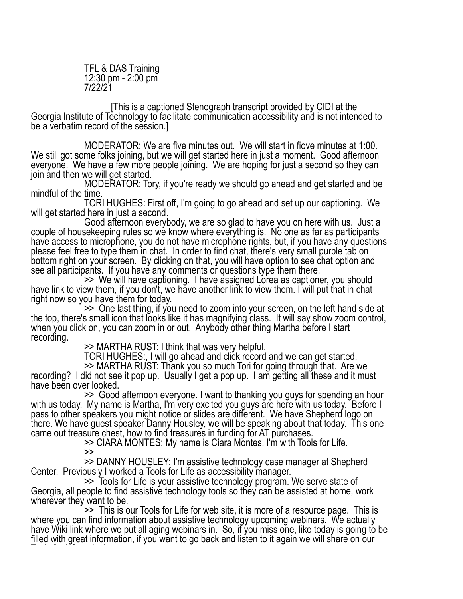TFL & DAS Training 12:30 pm - 2:00 pm 7/22/21

[This is a captioned Stenograph transcript provided by CIDI at the Georgia Institute of Technology to facilitate communication accessibility and is not intended to be a verbatim record of the session.]

MODERATOR: We are five minutes out. We will start in fiove minutes at 1:00. We still got some folks joining, but we will get started here in just a moment. Good afternoon everyone. We have a few more people joining. We are hoping for just a second so they can join and then we will get started.

MODERATOR: Tory, if you're ready we should go ahead and get started and be mindful of the time.

TORI HUGHES: First off, I'm going to go ahead and set up our captioning. We will get started here in just a second.

Good afternoon everybody, we are so glad to have you on here with us. Just a couple of housekeeping rules so we know where everything is. No one as far as participants have access to microphone, you do not have microphone rights, but, if you have any questions please feel free to type them in chat. In order to find chat, there's very small purple tab on bottom right on your screen. By clicking on that, you will have option to see chat option and<br>see all participants. If you have any comments or questions type them there.

<sup>1</sup> >> We will have captioning. I have assigned Lorea as captioner, you should<br>have link to view them, if you don't, we have another link to view them. I will put that in chat<br>right now so you have them for today.

 $\sim$  >> One last thing, if you need to zoom into your screen, on the left hand side at the top, there's small icon that looks like it has magnifying class. It will say show zoom control, when you click on, you can zoom in or out. Anybody other thing Martha before I start recording. >> MARTHA RUST: I think that was very helpful.

TORI HUGHES:, I will go ahead and click record and we can get started.<br>>> MARTHA RUST: Thank you so much Tori for going through that. Are we

recording? I did not see it pop up. Usually I get a pop up. I am getting all these and it must have been over looked.<br>>> Good afternoon everyone. I want to thanking you guys for spending an hour

with us today. My name is Martha, I'm very excited you guys are here with us today. Before I pass to other speakers you might notice or slides are different. We have Shepherd logo on there. We have guest speaker Danny Housley, we will be speaking about that today. This one came out treasure chest, how to find treasures in funding for AT purchases.<br>SCIARA MONTES: My name is Ciara Montes, I'm with Tools for Life.

>><br>>> DANNY HOUSLEY: I'm assistive technology case manager at Shepherd

Center. Previously I worked a Tools for Life as accessibility manager.<br>
>> Tools for Life is your assistive technology program. We serve state of<br>
Georgia, all people to find assistive technology tools so they can be assis

 $\ge$  >> This is our Tools for Life for web site, it is more of a resource page. This is where you can find information about assistive technology upcoming webinars. We actually have Wiki link where we put all aging webinars in. So, if you miss one, like today is going to be filled with great information, if you want to go back and listen to it again we will share on our Tools for Life web site.<br>Tools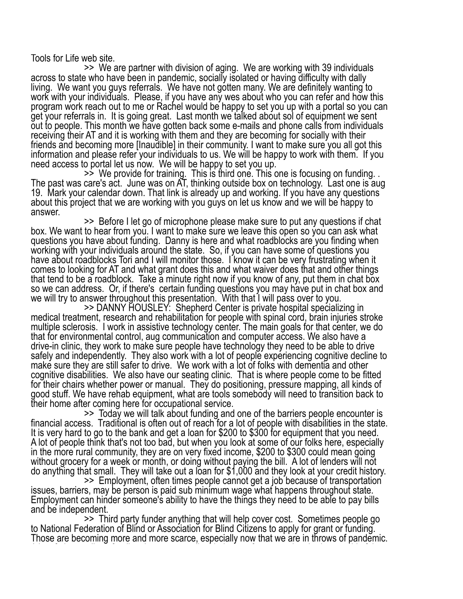Tools for Life web site.<br>>> We are partner with division of aging. We are working with 39 individuals across to state who have been in pandemic, socially isolated or having difficulty with dally living. We want you guys referrals. We have not gotten many. We are definitely wanting to work with your individuals. Please, if you have any wes about who you can refer and how this program work reach out to me or Rachel would be happy to set you up with a portal so you can get your referrals in. It is going great. Last month we talked about sol of equipment we sent out to people. This month we have gotten back some e-mails and phone calls from individuals receiving their AT and it is working with them and they are becoming for socially with their friends and becoming more [Inaudible] in their community. I want to make sure you all got this information and please refer your individuals to us. We will be happy to work with them. If you<br>need access to portal let us now. We will be happy to set you up.

 $\geq$  We provide for training. This is third one. This one is focusing on funding. . The past was care's act. June was on AT, thinking outside box on technology. Last one is aug 19. Mark your calendar down. That link is already up and working. If you have any questions about this project that we are working with you guys on let us know and we will be happy to answer.

>> Before I let go of microphone please make sure to put any questions if chat<br>box. We want to hear from you. I want to make sure we leave this open so you can ask what questions you have about funding. Danny is here and what roadblocks are you finding when working with your individuals around the state. So, if you can have some of questions you have about roadblocks Tori and I will monitor those. I know it can be very frustrating when it comes to looking for AT and what grant does this and what waiver does that and other things that tend to be a roadblock. Take a minute right now if you know of any, put them in chat box so we can address. Or, if there's certain funding questions you may have put in chat box and we will try to answer throughout this presentation. With that I will pass over to you.

The private is private hospital specializing in<br>medical treatment, research and rehabilitation for people with spinal cord, brain injuries stroke multiple sclerosis. I work in assistive technology center. The main goals for that center, we do that for environmental control, aug communication and computer access. We also have a drive-in clinic, they work to make sure people have technology they need to be able to drive safely and independently. They also work with a lot of people experiencing cognitive decline to make sure they are still safer to drive. We work with a lot of folks with dementia and other cognitive disabilities. We also have our seating clinic. That is where people come to be fitted for their chairs whether power or manual. They do positioning, pressure mapping, all kinds of good stuff. We have rehab equipment, what are tools somebody will need to transition back to<br>their home after coming here for occupational service.

>> Today we will talk about funding and one of the barriers people encounter is financial access. Traditional is often out of reach for a lot of people with disabilities in the state. It is very hard to go to the bank and get a loan for \$200 to \$300 for equipment that you need. A lot of people think that's not too bad, but when you look at some of our folks here, especially in the more rural community, they are on very fixed income, \$200 to \$300 could mean going without grocery for a week or month, or doing without paying the bill. A lot of lenders will not

do anything that small. They will take out a loan for \$1,000 and they look at your credit history.<br>>> Employment, often times people cannot get a job because of transportation<br>issues, barriers, may be person is paid sub mi Employment can hinder someone's ability to have the things they need to be able to pay bills

and be independent.<br>1991 - >> Third party funder anything that will help cover cost. Sometimes people go<br>1991 - to National Federation of Blind or Association for Blind Citizens to apply for grant or funding. Those are becoming more and more scarce, especially now that we are in throws of pandemic. A lot of places, direct funding they are actually dried up, or frozen, or they had to get rid of that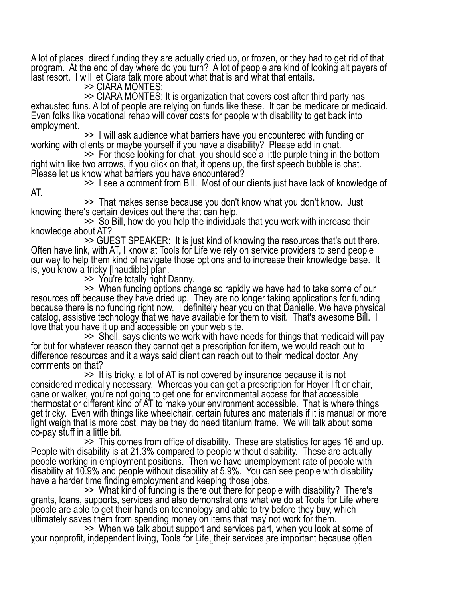A lot of places, direct funding they are actually dried up, or frozen, or they had to get rid of that program. At the end of day where do you turn? A lot of people are kind of looking alt payers of last resort. I will let Ciara talk more about what that is and what that entails.

>> CIARA MONTES:<br>>> CIARA MONTES: It is organization that covers cost after third party has exhausted funs. A lot of people are relying on funds like these. It can be medicare or medicaid. Even folks like vocational rehab will cover costs for people with disability to get back into

employment.<br>
>> I will ask audience what barriers have you encountered with funding or<br>
working with clients or maybe yourself if you have a disability? Please add in chat.<br>
>> For those looking for chat, you should see a

Please let us know what barriers you have encountered?<br>
>> I see a comment from Bill. Most of our clients just have lack of knowledge of AT.

>> That makes sense because you don't know what you don't know. Just knowing there's certain devices out there that can help.

>> So Bill, how do you help the individuals that you work with increase their<br>knowledge about AT?<br>>> GUEST SPEAKER: It is just kind of knowing the resources that's out there.<br>Often have link, with AT, I know at Tools for L our way to help them kind of navigate those options and to increase their knowledge base. It is, you know a tricky [Inaudible] plan.

>> You're totally right Danny.<br>>> When funding options change so rapidly we have had to take some of our resources off because they have dried up. They are no longer taking applications for funding because there is no funding right now. I definitely hear you on that Danielle. We have physical catalog, assistive technology that we have available for them to visit. That's awesome Bill. I<br>love that you have it up and accessible on your web site.

>> Shell, says clients we work with have needs for things that medicaid will pay for but for whatever reason they cannot get a prescription for item, we would reach out to difference resources and it always said client can reach out to their medical doctor. Any comments on that?<br>>> It is tricky, a lot of AT is not covered by insurance because it is not

considered medically necessary. Whereas you can get a prescription for Hoyer lift or chair, cane or walker, you're not going to get one for environmental access for that accessible thermostat or different kind of AT to make your environment accessible. That is where things get tricky. Even with things like wheelchair, certain futures and materials if it is manual or more light weigh that is more cost, may be they do need titanium frame. We will talk about some<br>co-pay stuff in a little bit.

**Exay Stuff in a little bit. Stuff in a little bit. Stuff in a little bit. Stuff in a little bit.** People with disability is at 21.3% compared to people without disability. These are actually people working in employment positions. Then we have unemployment rate of people with disability at 10.9% and people without disability at 5.9%. You can see people with disability have a harder time finding employment and keeping those jobs.

>> What kind of funding is there out there for people with disability? There's grants, loans, supports, services and also demonstrations what we do at Tools for Life where people are able to get their hands on technology and able to try before they buy, which

ultimately saves them from spending money on items that may not work for them.<br>>> When we talk about support and services part, when you look at some of<br>your nonprofit, independent living, Tools for Life, their services ar times they can give demonstration or some feedback or some hand's on experience with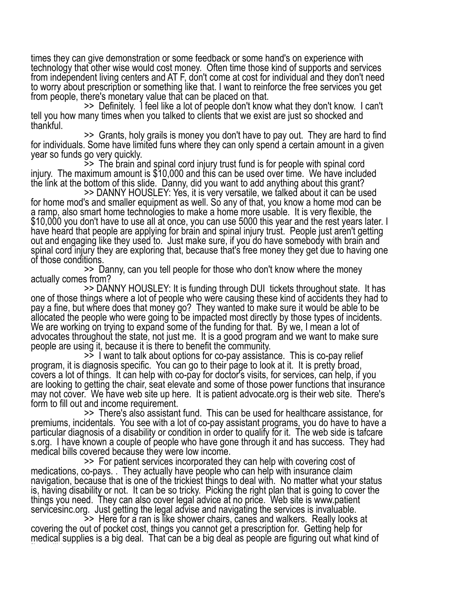times they can give demonstration or some feedback or some hand's on experience with technology that other wise would cost money. Often time those kind of supports and services from independent living centers and AT F, don't come at cost for individual and they don't need to worry about prescription or something like that. I want to reinforce the free services you get<br>from people, there's monetary value that can be placed on that.

 $\ge$  Definitely. I feel like a lot of people don't know what they don't know. I can't tell you how many times when you talked to clients that we exist are just so shocked and thankful.

>> Grants, holy grails is money you don't have to pay out. They are hard to find<br>for individuals. Some have limited funs where they can only spend a certain amount in a given<br>year so funds go very quickly.

 $\ge$   $\ge$   $\ge$  The brain and spinal cord injury trust fund is for people with spinal cord injury. The maximum amount is \$10,000 and this can be used over time. We have included

the link at the bottom of this slide. Danny, did you want to add anything about this grant?<br>>> DANNY HOUSLEY: Yes, it is very versatile, we talked about it can be used<br>for home mod's and smaller equipment as well. So any o a ramp, also smart home technologies to make a home more usable. It is very flexible, the \$10,000 you don't have to use all at once, you can use 5000 this year and the rest years later. I have heard that people are applying for brain and spinal injury trust. People just aren't getting out and engaging like they used to. Just make sure, if you do have somebody with brain and spinal cord injury they are exploring that, because that's free money they get due to having one of those conditions.

>> Danny, can you tell people for those who don't know where the money<br>actually comes from?<br>>> DANNY HOUSLEY: It is funding through DUI tickets throughout state. It has<br>one of those things where a lot of people who were ca pay a fine, but where does that money go? They wanted to make sure it would be able to be allocated the people who were going to be impacted most directly by those types of incidents. We are working on trying to expand some of the funding for that. By we, I mean a lot of advocates throughout the state, not just me. It is a good program and we want to make sure people are using it, because it is there to benefit the community.

>> I want to talk about options for co-pay assistance. This is co-pay relief program, it is diagnosis specific. You can go to their page to look at it. It is pretty broad, covers a lot of things. It can help with co-pay for doctor's visits, for services, can help, if you are looking to getting the chair, seat elevate and some of those power functions that insurance may not cover. We have web site up here. It is patient advocate.org is their web site. There's<br>form to fill out and income requirement.

>> There's also assistant fund. This can be used for healthcare assistance, for premiums, incidentals. You see with a lot of co-pay assistant programs, you do have to have a particular diagnosis of a disability or condition in order to qualify for it. The web side is tafcare s.org. I have known a couple of people who have gone through it and has success. They had medical bills covered because they were low income.

>> For patient services incorporated they can help with covering cost of medications, co-pays. . They actually have people who can help with insurance claim navigation, because that is one of the trickiest things to deal with. No matter what your status is, having disability or not. It can be so tricky. Picking the right plan that is going to cover the things you need. They can also cover legal advice at no price. Web site is www.patient servicesinc.org. Just getting the legal advise and navigating the services is invaluable.

>> Here for a ran is like shower chairs, canes and walkers. Really looks at covering the out of pocket cost, things you cannot get a prescription for. Getting help for medical supplies is a big deal. That can be a big deal as people are figuring out what kind of [Inaudible] to use.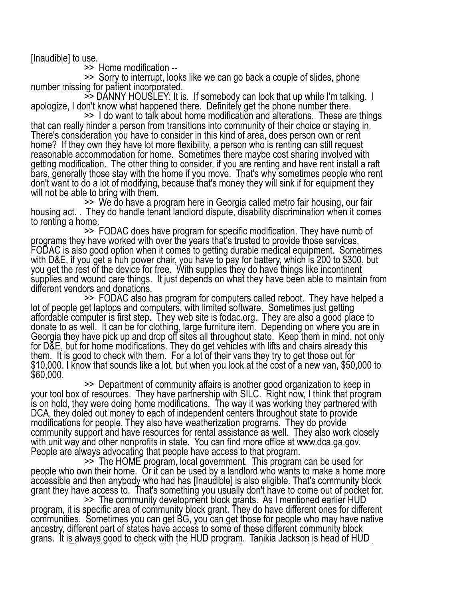[Inaudible] to use. >> Home modification --

>> Sorry to interrupt, looks like we can go back a couple of slides, phone<br>number missing for patient incorporated.<br>>> DANNY HOUSLEY: It is. If somebody can look that up while I'm talking. I<br>apologize, I don't know what ha

There's consideration you have to consider in this kind of area, does person own or rent home? If they own they have lot more flexibility, a person who is renting can still request reasonable accommodation for home. Sometimes there maybe cost sharing involved with getting modification. The other thing to consider, if you are renting and have rent install a raft bars, generally those stay with the home if you move. That's why sometimes people who rent don't want to do a lot of modifying, because that's money they will sink if for equipment they will not be able to bring with them.

>> We do have a program here in Georgia called metro fair housing, our fair housing act. . They do handle tenant landlord dispute, disability discrimination when it comes

to renting a home. >> FODAC does have program for specific modification. They have numb of programs they have worked with over the years that's trusted to provide those services. FODAC is also good option when it comes to getting durable medical equipment. Sometimes with D&E, if you get a huh power chair, you have to pay for battery, which is 200 to \$300, but you get the rest of the device for free. With supplies they do have things like incontinent supplies and wound care things. It just depends on what they have been able to maintain from different vendors and donations.

>> FODAC also has program for computers called reboot. They have helped a lot of people get laptops and computers, with limited software. Sometimes just getting affordable computer is first step. They web site is fodac.org. They are also a good place to donate to as well. It can be for clothing, large furniture item. Depending on where you are in Georgia they have pick up and drop off sites all throughout state. Keep them in mind, not only for D&E, but for home modifications. They do get vehicles with lifts and chairs already this them. It is good to check with them. For a lot of their vans they try to get those out for \$10,000. I know that sounds like a lot, but when you look at the cost of a new van, \$50,000 to \$60,000.

>> Department of community affairs is another good organization to keep in your tool box of resources. They have partnership with SILC. Right now, I think that program is on hold, they were doing home modifications. The way it was working they partnered with DCA, they doled out money to each of independent centers throughout state to provide modifications for people. They also have weatherization programs. They do provide community support and have resources for rental assistance as well. They also work closely with unit way and other nonprofits in state. You can find more office at www.dca.ga.gov.<br>People are always advocating that people have access to that program.

>> The HOME program, local government. This program can be used for people who own their home. Or it can be used by a landlord who wants to make a home more accessible and then anybody who had has [Inaudible] is also eligible. That's community block grant they have access to. That's something you usually don't have to come out of pocket for.<br>>> The community development block grants. As I mentioned earlier HUD

program, it is specific area of community block grant. They do have different ones for different communities. Sometimes you can get BG, you can get those for people who may have native ancestry, different part of states have access to some of these different community block grans. It is always good to check with the HUD program. Tanikia Jackson is head of HUD program. They will give you [Inaudible] what they look like, what communities they serve. I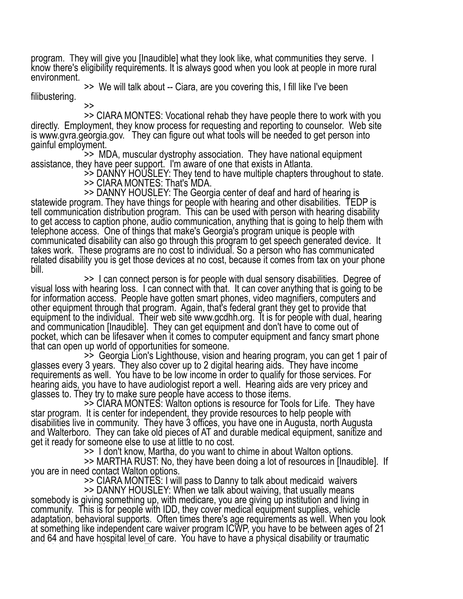program. They will give you [Inaudible] what they look like, what communities they serve. I know there's eligibility requirements. It is always good when you look at people in more rural environment.

>> We will talk about -- Ciara, are you covering this, I fill like I've been filibustering.

>> >> CIARA MONTES: Vocational rehab they have people there to work with you directly. Employment, they know process for requesting and reporting to counselor. Web site is www.gvra.georgia.gov. They can figure out what tools will be needed to get person into gainful employment.<br>>> MDA, muscular dystrophy association. They have national equipment

assistance, they have peer support. I'm aware of one that exists in Atlanta.<br>>> DANNY HOUSLEY: They tend to have multiple chapters throughout to state.

>> CIARA MONTES: That's MDA.<br>>> DANNY HOUSLEY: The Georgia center of deaf and hard of hearing is >> DANNY HOUSLEY: The Georgia center of deaf and hard of hearing is <br>statewide program. They have things for people with hearing and other disabilities. TEDP is tell communication distribution program. This can be used with person with hearing disability to get access to caption phone, audio communication, anything that is going to help them with telephone access. One of things that make's Georgia's program unique is people with communicated disability can also go through this program to get speech generated device. It takes work. These programs are no cost to individual. So a person who has communicated related disability you is get those devices at no cost, because it comes from tax on your phone bill.

>> I can connect person is for people with dual sensory disabilities. Degree of visual loss with hearing loss. I can connect with that. It can cover anything that is going to be for information access. People have gotten smart phones, video magnifiers, computers and other equipment through that program. Again, that's federal grant they get to provide that equipment to the individual. Their web site www.gcdhh.org. It is for people with dual, hearing and communication [Inaudible]. They can get equipment and don't have to come out of pocket, which can be lifesaver when it comes to computer equipment and fancy smart phone that can open up world of opportunities for someone.

that can open up to some up to some of opportunities for some of glasses every 3 years. They also cover up to 2 digital hearing aids. They have income glasses every 3 years. They also cover up to 2 digital hearing aids. Th requirements as well. You have to be low income in order to qualify for those services. For hearing aids, you have to have audiologist report a well. Hearing aids are very pricey and<br>glasses to. They try to make sure people have access to those items.

 $\ge$   $\ge$   $\le$  CIARA MONTES: Walton options is resource for Tools for Life. They have star program. It is center for independent, they provide resources to help people with disabilities live in community. They have 3 offices, you have one in Augusta, north Augusta and Walterboro. They can take old pieces of AT and durable medical equipment, sanitize and get it ready for someone else to use at little to no cost.

>> I don't know, Martha, do you want to chime in about Walton options.

>> MARTHA RUST: No, they have been doing a lot of resources in [Inaudible]. If you are in need contact Walton options.<br>>> CIARA MONTES: I will pass to Danny to talk about medicaid waivers

>> DANNY HOUSLEY: When we talk about waiving, that usually means somebody is giving something up, with medicare, you are giving up institution and living in community. This is for people with IDD, they cover medical equipment supplies, vehicle adaptation, behavioral supports. Often times there's age requirements as well. When you look at something like independent care waiver program ICWP, you have to be between ages of 21 and 64 and have hospital level of care. You have to have a physical disability or traumatic brain injury to qualify for the group to qualify for the year personal support informations, home health, home<br>They can cover personal support informations, home health, home health, home health, home health, home health,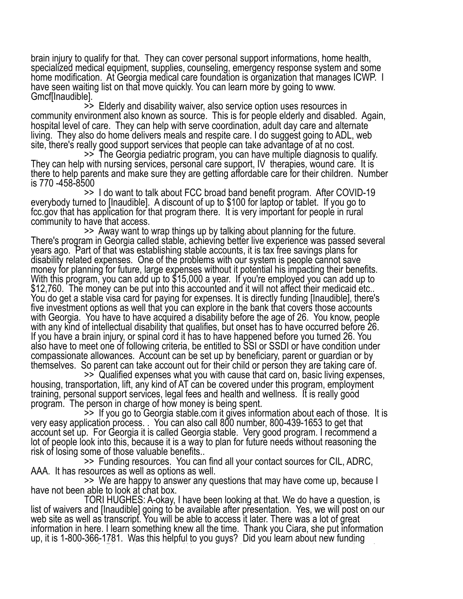brain injury to qualify for that. They can cover personal support informations, home health, specialized medical equipment, supplies, counseling, emergency response system and some home modification. At Georgia medical care foundation is organization that manages ICWP. I have seen waiting list on that move quickly. You can learn more by going to www. Gmcf[Inaudible].<br>>> Elderly and disability waiver, also service option uses resources in

community environment also known as source. This is for people elderly and disabled. Again, hospital level of care. They can help with serve coordination, adult day care and alternate living. They also do home delivers meals and respite care. I do suggest going to ADL, web site, there's really good support services that people can take advantage of at no cost.

The Georgia pediatric program, you can have multiple diagnosis to qualify.<br>They can help with nursing services, personal care support, IV therapies, wound care. It is there to help parents and make sure they are getting affordable care for their children. Number is 770 -458-8500<br>>> I do want to talk about FCC broad band benefit program. After COVID-19

everybody turned to [Inaudible]. A discount of up to \$100 for laptop or tablet. If you go to fcc.gov that has application for that program there. It is very important for people in rural

community to have that access.<br>>> Away want to wrap things up by talking about planning for the future.<br>There's program in Georgia called stable, achieving better live experience was passed several years ago. Part of that was establishing stable accounts, it is tax free savings plans for disability related expenses. One of the problems with our system is people cannot save money for planning for future, large expenses without it potential his impacting their benefits. With this program, you can add up to \$15,000 a year. If you're employed you can add up to \$12,760. The money can be put into this accounted and it will not affect their medicaid etc.. You do get a stable visa card for paying for expenses. It is directly funding [Inaudible], there's five investment options as well that you can explore in the bank that covers those accounts with Georgia. You have to have acquired a disability before the age of 26. You know, people with any kind of intellectual disability that qualifies, but onset has to have occurred before 26. If you have a brain injury, or spinal cord it has to have happened before you turned 26. You also have to meet one of following criteria, be entitled to SSI or SSDI or have condition under compassionate allowances. Account can be set up by beneficiary, parent or guardian or by

themselves. So parent can take account out for their child or person they are taking care of.<br>>> Qualified expenses what you with cause that card on, basic living expenses,<br>housing, transportation, lift, any kind of AT can training, personal support services, legal fees and health and wellness. It is really good<br>program. The person in charge of how money is being spent.

 $\sim$   $\ge$   $\ge$  If you go to Georgia stable.com it gives information about each of those. It is very easy application process. You can also call 800 number, 800-439-1653 to get that account set up. For Georgia it is called Georgia stable. Very good program. I recommend a lot of people look into this, because it is a way to plan for future needs without reasoning the<br>risk of losing some of those valuable benefits..

>> Funding resources. You can find all your contact sources for CIL, ADRC, AAA. It has resources as well as options as well.

>> We are happy to answer any questions that may have come up, because I<br>have not been able to look at chat box.<br>TORI HUGHES: A-okay, I have been looking at that. We do have a question, is

list of waivers and [Inaudible] going to be available after presentation. Yes, we will post on our web site as well as transcript. You will be able to access it later. There was a lot of great information in here. I learn something knew all the time. Thank you Ciara, she put information up, it is 1-800-366-1781. Was this helpful to you guys? Did you learn about new funding sources available? Please let us know. We want to make sure we covered any questions that